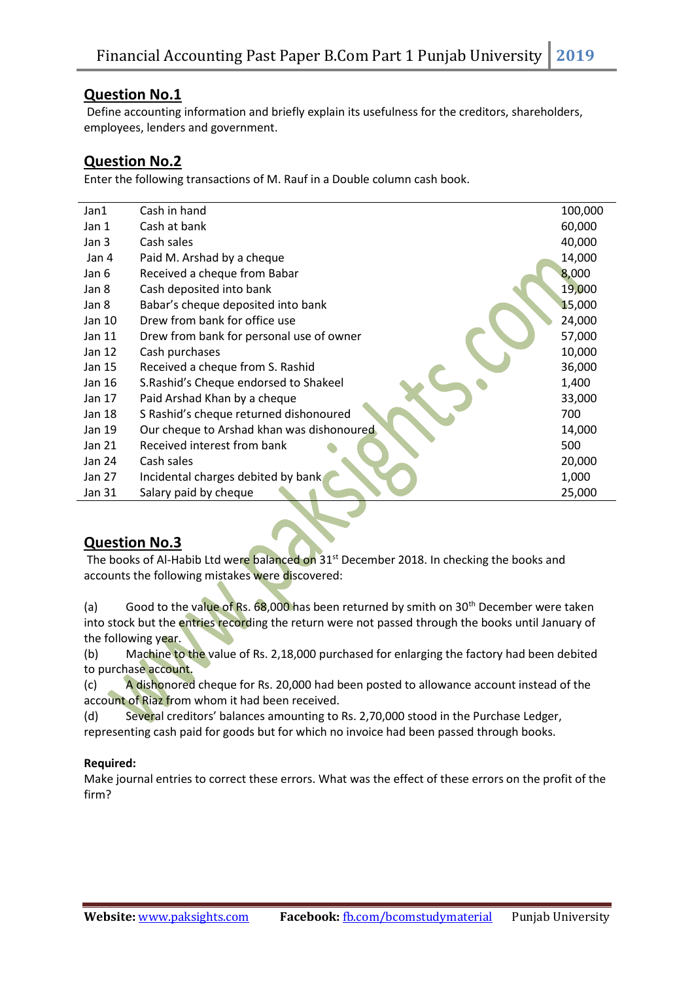## **Question No.1**

Define accounting information and briefly explain its usefulness for the creditors, shareholders, employees, lenders and government.

### **Question No.2**

Enter the following transactions of M. Rauf in a Double column cash book.

| Jan1   | Cash in hand                              | 100,000 |
|--------|-------------------------------------------|---------|
| Jan 1  | Cash at bank                              | 60,000  |
| Jan 3  | Cash sales                                | 40,000  |
| Jan 4  | Paid M. Arshad by a cheque                | 14,000  |
| Jan 6  | Received a cheque from Babar              | 8,000   |
| Jan 8  | Cash deposited into bank                  | 19,000  |
| Jan 8  | Babar's cheque deposited into bank        | 15,000  |
| Jan 10 | Drew from bank for office use             | 24,000  |
| Jan 11 | Drew from bank for personal use of owner  | 57,000  |
| Jan 12 | Cash purchases                            | 10,000  |
| Jan 15 | Received a cheque from S. Rashid          | 36,000  |
| Jan 16 | S. Rashid's Cheque endorsed to Shakeel    | 1,400   |
| Jan 17 | Paid Arshad Khan by a cheque              | 33,000  |
| Jan 18 | S Rashid's cheque returned dishonoured    | 700     |
| Jan 19 | Our cheque to Arshad khan was dishonoured | 14,000  |
| Jan 21 | Received interest from bank               | 500     |
| Jan 24 | Cash sales                                | 20,000  |
| Jan 27 | Incidental charges debited by bank        | 1,000   |
| Jan 31 | Salary paid by cheque                     | 25,000  |
|        |                                           |         |

# **Question No.3**

The books of Al-Habib Ltd were balanced on 31<sup>st</sup> December 2018. In checking the books and accounts the following mistakes were discovered:

(a) Good to the value of Rs.  $68,000$  has been returned by smith on 30<sup>th</sup> December were taken into stock but the entries recording the return were not passed through the books until January of the following year.

(b) Machine to the value of Rs. 2,18,000 purchased for enlarging the factory had been debited to purchase account.

(c) A dishonored cheque for Rs. 20,000 had been posted to allowance account instead of the account of Riaz from whom it had been received.

(d) Several creditors' balances amounting to Rs. 2,70,000 stood in the Purchase Ledger, representing cash paid for goods but for which no invoice had been passed through books.

#### **Required:**

Make journal entries to correct these errors. What was the effect of these errors on the profit of the firm?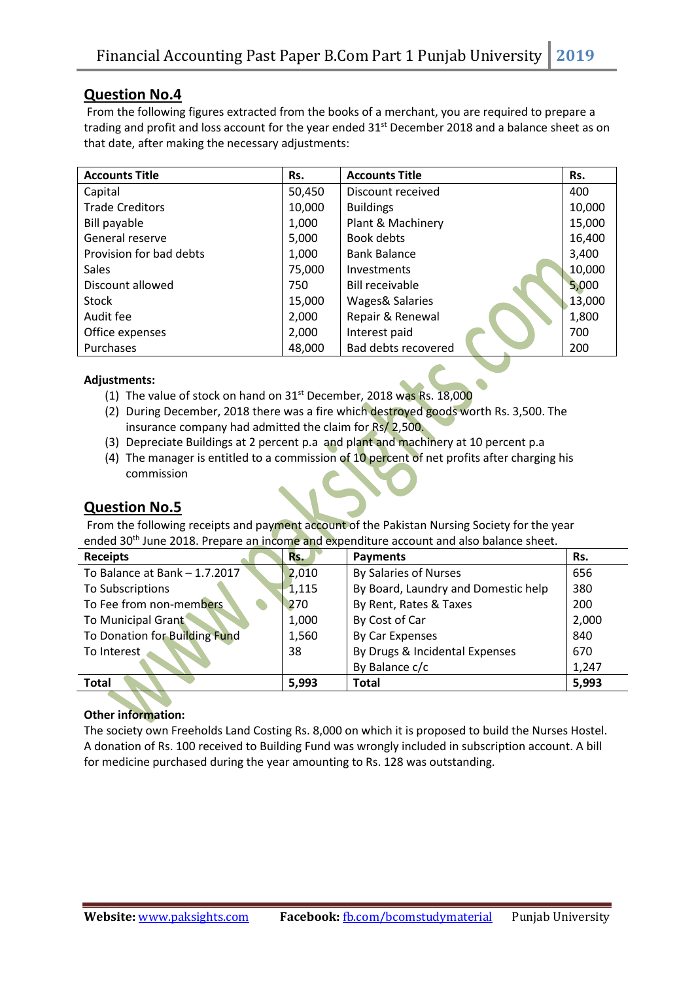## **Question No.4**

From the following figures extracted from the books of a merchant, you are required to prepare a trading and profit and loss account for the year ended  $31^{st}$  December 2018 and a balance sheet as on that date, after making the necessary adjustments:

| <b>Accounts Title</b>   | Rs.    | <b>Accounts Title</b>      | Rs.    |
|-------------------------|--------|----------------------------|--------|
| Capital                 | 50,450 | Discount received          | 400    |
| <b>Trade Creditors</b>  | 10,000 | <b>Buildings</b>           | 10,000 |
| Bill payable            | 1,000  | Plant & Machinery          | 15,000 |
| General reserve         | 5,000  | Book debts                 | 16,400 |
| Provision for bad debts | 1,000  | <b>Bank Balance</b>        | 3,400  |
| <b>Sales</b>            | 75,000 | Investments                | 10,000 |
| Discount allowed        | 750    | <b>Bill receivable</b>     | 5,000  |
| <b>Stock</b>            | 15,000 | <b>Wages&amp; Salaries</b> | 13,000 |
| Audit fee               | 2,000  | Repair & Renewal           | 1,800  |
| Office expenses         | 2,000  | Interest paid              | 700    |
| Purchases               | 48,000 | Bad debts recovered        | 200    |

#### **Adjustments:**

- (1) The value of stock on hand on  $31^{st}$  December, 2018 was Rs. 18,000
- (2) During December, 2018 there was a fire which destroyed goods worth Rs. 3,500. The insurance company had admitted the claim for Rs/ 2,500.
- (3) Depreciate Buildings at 2 percent p.a and plant and machinery at 10 percent p.a
- (4) The manager is entitled to a commission of 10 percent of net profits after charging his commission

# **Question No.5**

From the following receipts and payment account of the Pakistan Nursing Society for the year ended 30<sup>th</sup> June 2018. Prepare an income and expenditure account and also balance sheet.

| <b>Receipts</b>                | Rs.   | <b>Payments</b>                     | Rs.   |
|--------------------------------|-------|-------------------------------------|-------|
| To Balance at Bank $-1.7.2017$ | 2,010 | By Salaries of Nurses               | 656   |
| To Subscriptions               | 1,115 | By Board, Laundry and Domestic help | 380   |
| To Fee from non-members        | 270   | By Rent, Rates & Taxes              | 200   |
| To Municipal Grant             | 1,000 | By Cost of Car                      | 2,000 |
| To Donation for Building Fund  | 1,560 | By Car Expenses                     | 840   |
| To Interest                    | 38    | By Drugs & Incidental Expenses      | 670   |
|                                |       | By Balance c/c                      | 1,247 |
| <b>Total</b>                   | 5,993 | <b>Total</b>                        | 5,993 |

#### **Other information:**

The society own Freeholds Land Costing Rs. 8,000 on which it is proposed to build the Nurses Hostel. A donation of Rs. 100 received to Building Fund was wrongly included in subscription account. A bill for medicine purchased during the year amounting to Rs. 128 was outstanding.